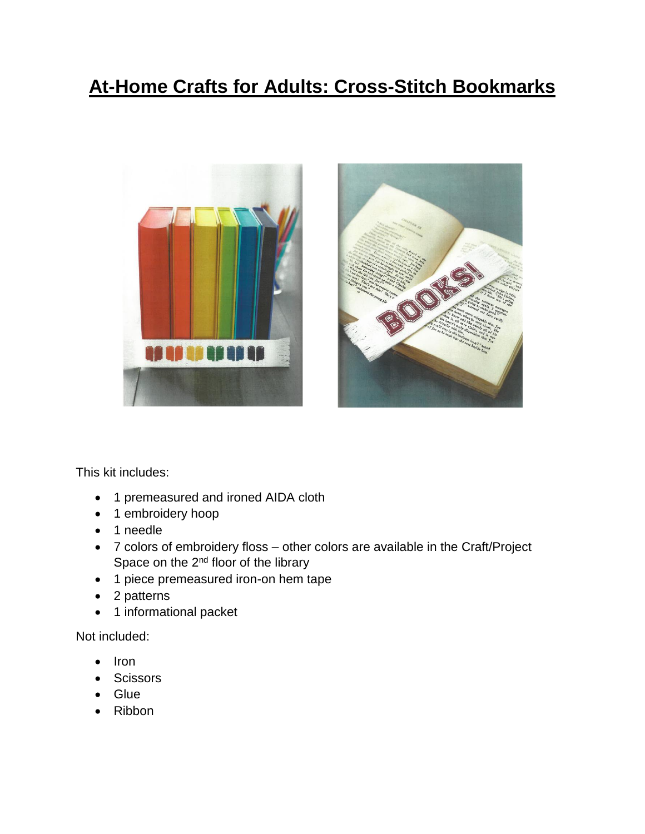## **At-Home Crafts for Adults: Cross-Stitch Bookmarks**





This kit includes:

- 1 premeasured and ironed AIDA cloth
- 1 embroidery hoop
- 1 needle
- 7 colors of embroidery floss other colors are available in the Craft/Project Space on the 2<sup>nd</sup> floor of the library
- 1 piece premeasured iron-on hem tape
- 2 patterns
- 1 informational packet

Not included:

- Iron
- **Scissors**
- Glue
- Ribbon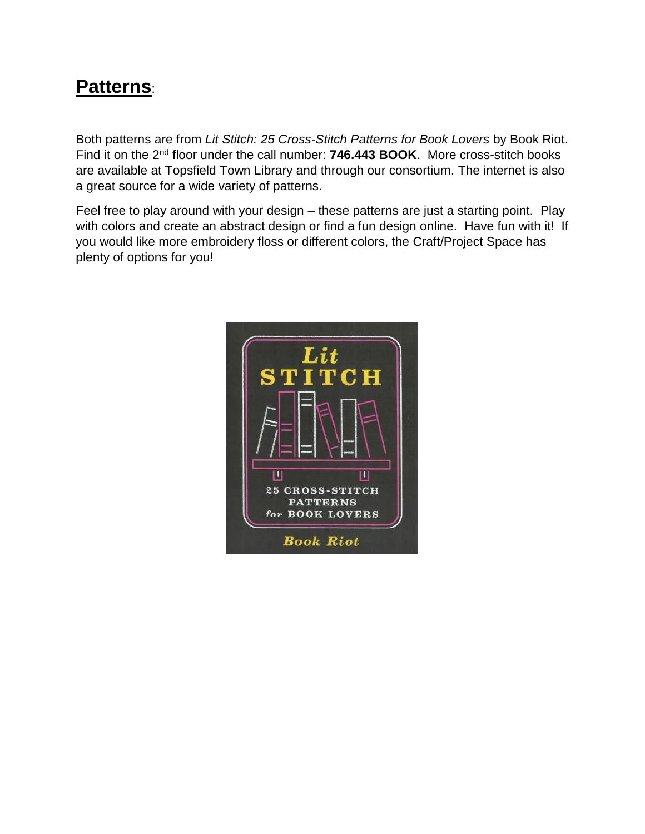### **Patterns**:

Both patterns are from *Lit Stitch: 25 Cross-Stitch Patterns for Book Lovers* by Book Riot. Find it on the 2nd floor under the call number: **746.443 BOOK**. More cross-stitch books are available at Topsfield Town Library and through our consortium. The internet is also a great source for a wide variety of patterns.

Feel free to play around with your design – these patterns are just a starting point. Play with colors and create an abstract design or find a fun design online. Have fun with it! If you would like more embroidery floss or different colors, the Craft/Project Space has plenty of options for you!

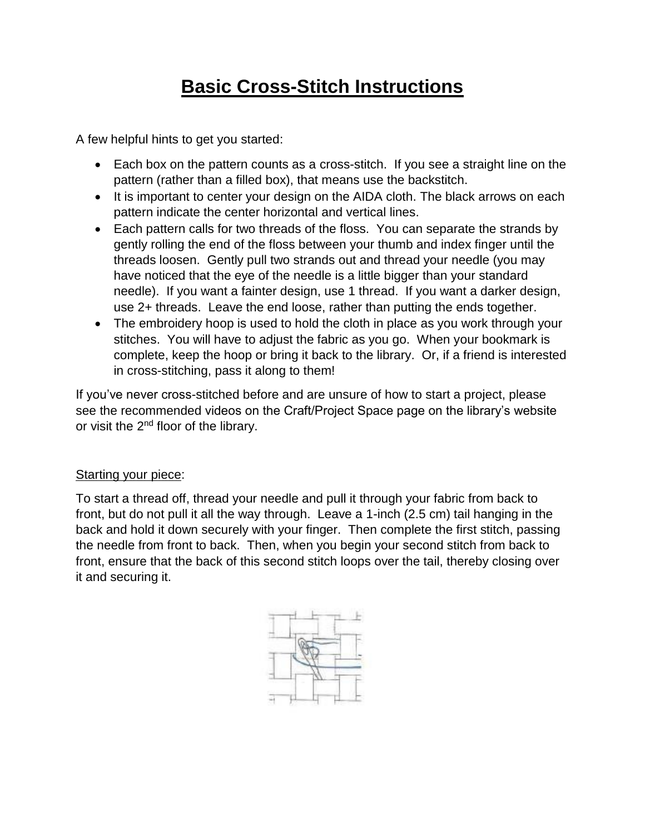# **Basic Cross-Stitch Instructions**

A few helpful hints to get you started:

- Each box on the pattern counts as a cross-stitch. If you see a straight line on the pattern (rather than a filled box), that means use the backstitch.
- It is important to center your design on the AIDA cloth. The black arrows on each pattern indicate the center horizontal and vertical lines.
- Each pattern calls for two threads of the floss. You can separate the strands by gently rolling the end of the floss between your thumb and index finger until the threads loosen. Gently pull two strands out and thread your needle (you may have noticed that the eye of the needle is a little bigger than your standard needle). If you want a fainter design, use 1 thread. If you want a darker design, use 2+ threads. Leave the end loose, rather than putting the ends together.
- The embroidery hoop is used to hold the cloth in place as you work through your stitches. You will have to adjust the fabric as you go. When your bookmark is complete, keep the hoop or bring it back to the library. Or, if a friend is interested in cross-stitching, pass it along to them!

If you've never cross-stitched before and are unsure of how to start a project, please see the recommended videos on the Craft/Project Space page on the library's website or visit the 2<sup>nd</sup> floor of the library.

#### Starting your piece:

To start a thread off, thread your needle and pull it through your fabric from back to front, but do not pull it all the way through. Leave a 1-inch (2.5 cm) tail hanging in the back and hold it down securely with your finger. Then complete the first stitch, passing the needle from front to back. Then, when you begin your second stitch from back to front, ensure that the back of this second stitch loops over the tail, thereby closing over it and securing it.

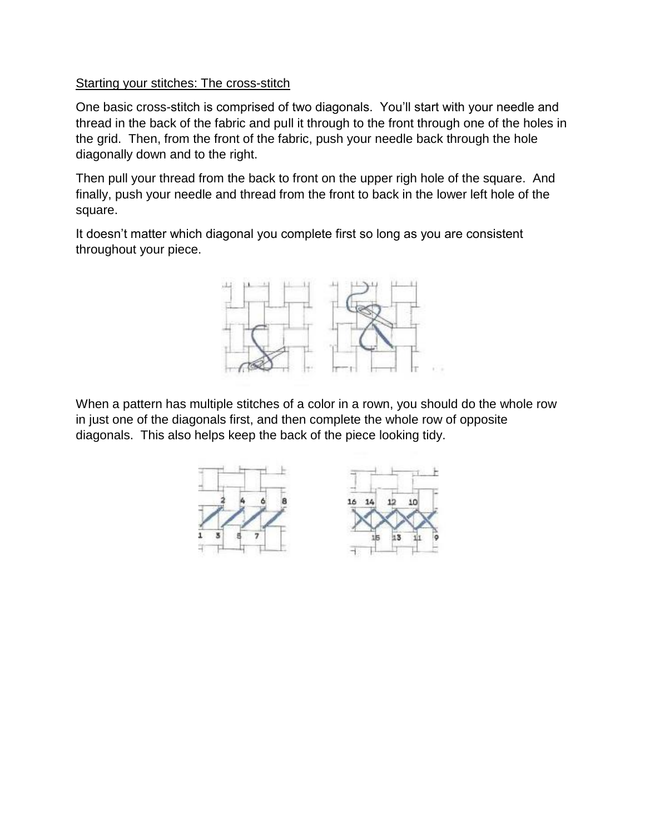#### Starting your stitches: The cross-stitch

One basic cross-stitch is comprised of two diagonals. You'll start with your needle and thread in the back of the fabric and pull it through to the front through one of the holes in the grid. Then, from the front of the fabric, push your needle back through the hole diagonally down and to the right.

Then pull your thread from the back to front on the upper righ hole of the square. And finally, push your needle and thread from the front to back in the lower left hole of the square.

It doesn't matter which diagonal you complete first so long as you are consistent throughout your piece.



When a pattern has multiple stitches of a color in a rown, you should do the whole row in just one of the diagonals first, and then complete the whole row of opposite diagonals. This also helps keep the back of the piece looking tidy.

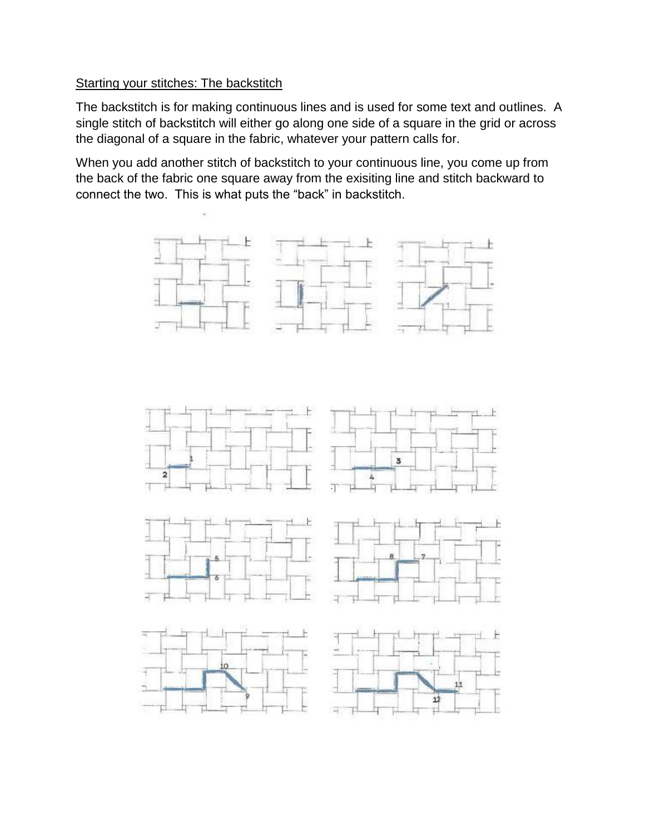#### Starting your stitches: The backstitch

The backstitch is for making continuous lines and is used for some text and outlines. A single stitch of backstitch will either go along one side of a square in the grid or across the diagonal of a square in the fabric, whatever your pattern calls for.

When you add another stitch of backstitch to your continuous line, you come up from the back of the fabric one square away from the exisiting line and stitch backward to connect the two. This is what puts the "back" in backstitch.

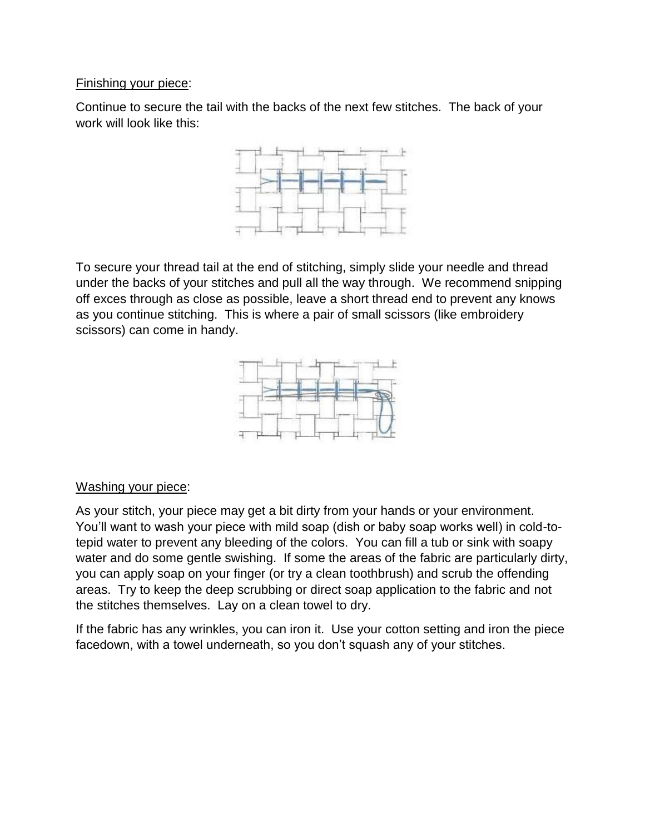#### Finishing your piece:

Continue to secure the tail with the backs of the next few stitches. The back of your work will look like this:



To secure your thread tail at the end of stitching, simply slide your needle and thread under the backs of your stitches and pull all the way through. We recommend snipping off exces through as close as possible, leave a short thread end to prevent any knows as you continue stitching. This is where a pair of small scissors (like embroidery scissors) can come in handy.



#### Washing your piece:

As your stitch, your piece may get a bit dirty from your hands or your environment. You'll want to wash your piece with mild soap (dish or baby soap works well) in cold-totepid water to prevent any bleeding of the colors. You can fill a tub or sink with soapy water and do some gentle swishing. If some the areas of the fabric are particularly dirty, you can apply soap on your finger (or try a clean toothbrush) and scrub the offending areas. Try to keep the deep scrubbing or direct soap application to the fabric and not the stitches themselves. Lay on a clean towel to dry.

If the fabric has any wrinkles, you can iron it. Use your cotton setting and iron the piece facedown, with a towel underneath, so you don't squash any of your stitches.